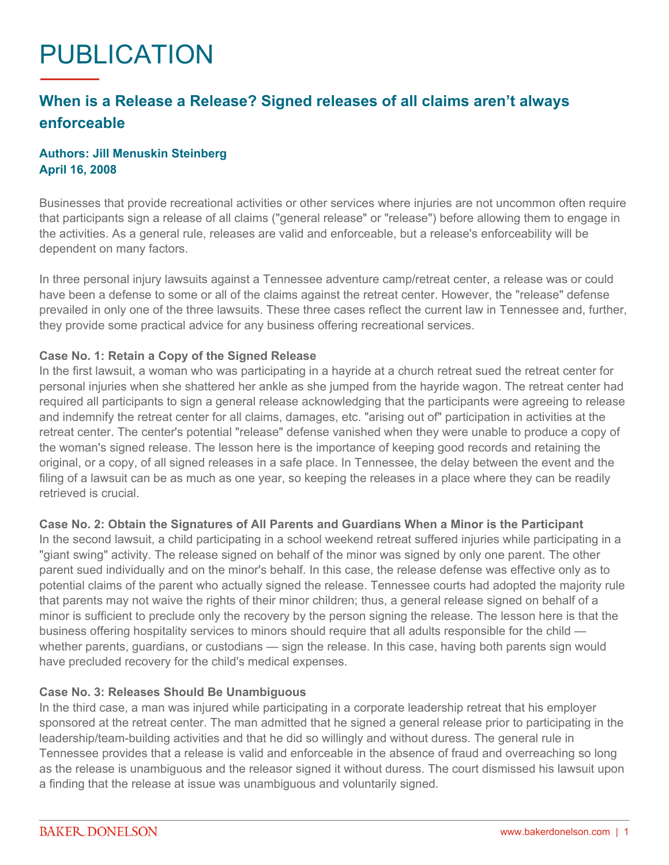# PUBLICATION

## **When is a Release a Release? Signed releases of all claims aren't always enforceable**

### **Authors: Jill Menuskin Steinberg April 16, 2008**

Businesses that provide recreational activities or other services where injuries are not uncommon often require that participants sign a release of all claims ("general release" or "release") before allowing them to engage in the activities. As a general rule, releases are valid and enforceable, but a release's enforceability will be dependent on many factors.

In three personal injury lawsuits against a Tennessee adventure camp/retreat center, a release was or could have been a defense to some or all of the claims against the retreat center. However, the "release" defense prevailed in only one of the three lawsuits. These three cases reflect the current law in Tennessee and, further, they provide some practical advice for any business offering recreational services.

#### **Case No. 1: Retain a Copy of the Signed Release**

In the first lawsuit, a woman who was participating in a hayride at a church retreat sued the retreat center for personal injuries when she shattered her ankle as she jumped from the hayride wagon. The retreat center had required all participants to sign a general release acknowledging that the participants were agreeing to release and indemnify the retreat center for all claims, damages, etc. "arising out of" participation in activities at the retreat center. The center's potential "release" defense vanished when they were unable to produce a copy of the woman's signed release. The lesson here is the importance of keeping good records and retaining the original, or a copy, of all signed releases in a safe place. In Tennessee, the delay between the event and the filing of a lawsuit can be as much as one year, so keeping the releases in a place where they can be readily retrieved is crucial.

#### **Case No. 2: Obtain the Signatures of All Parents and Guardians When a Minor is the Participant**

In the second lawsuit, a child participating in a school weekend retreat suffered injuries while participating in a "giant swing" activity. The release signed on behalf of the minor was signed by only one parent. The other parent sued individually and on the minor's behalf. In this case, the release defense was effective only as to potential claims of the parent who actually signed the release. Tennessee courts had adopted the majority rule that parents may not waive the rights of their minor children; thus, a general release signed on behalf of a minor is sufficient to preclude only the recovery by the person signing the release. The lesson here is that the business offering hospitality services to minors should require that all adults responsible for the child whether parents, guardians, or custodians — sign the release. In this case, having both parents sign would have precluded recovery for the child's medical expenses.

#### **Case No. 3: Releases Should Be Unambiguous**

In the third case, a man was injured while participating in a corporate leadership retreat that his employer sponsored at the retreat center. The man admitted that he signed a general release prior to participating in the leadership/team-building activities and that he did so willingly and without duress. The general rule in Tennessee provides that a release is valid and enforceable in the absence of fraud and overreaching so long as the release is unambiguous and the releasor signed it without duress. The court dismissed his lawsuit upon a finding that the release at issue was unambiguous and voluntarily signed.